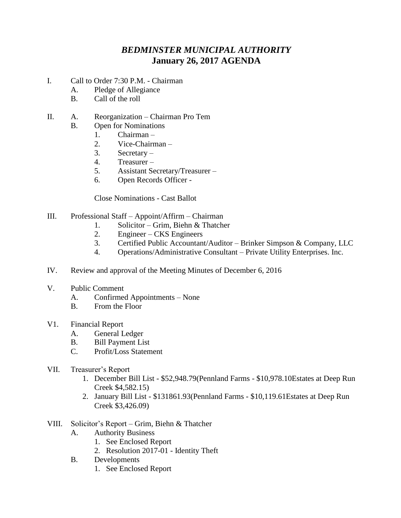## *BEDMINSTER MUNICIPAL AUTHORITY* **January 26, 2017 AGENDA**

- I. Call to Order 7:30 P.M. Chairman
	- A. Pledge of Allegiance
	- B. Call of the roll
- II. A. Reorganization Chairman Pro Tem
	- B. Open for Nominations
		- 1. Chairman –
		- 2. Vice-Chairman –
		- 3. Secretary –
		- 4. Treasurer –
		- 5. Assistant Secretary/Treasurer –
		- 6. Open Records Officer -

Close Nominations - Cast Ballot

- III. Professional Staff Appoint/Affirm Chairman
	- 1. Solicitor Grim, Biehn & Thatcher
	- 2. Engineer CKS Engineers
	- 3. Certified Public Accountant/Auditor Brinker Simpson & Company, LLC
	- 4. Operations/Administrative Consultant Private Utility Enterprises. Inc.
- IV. Review and approval of the Meeting Minutes of December 6, 2016
- V. Public Comment
	- A. Confirmed Appointments None
	- B. From the Floor
- V1. Financial Report
	- A. General Ledger
	- B. Bill Payment List
	- C. Profit/Loss Statement
- VII. Treasurer's Report
	- 1. December Bill List \$52,948.79(Pennland Farms \$10,978.10Estates at Deep Run Creek \$4,582.15)
	- 2. January Bill List \$131861.93(Pennland Farms \$10,119.61Estates at Deep Run Creek \$3,426.09)
- VIII. Solicitor's Report Grim, Biehn & Thatcher
	- A. Authority Business
		- 1. See Enclosed Report
		- 2. Resolution 2017-01 Identity Theft
	- B. Developments
		- 1. See Enclosed Report